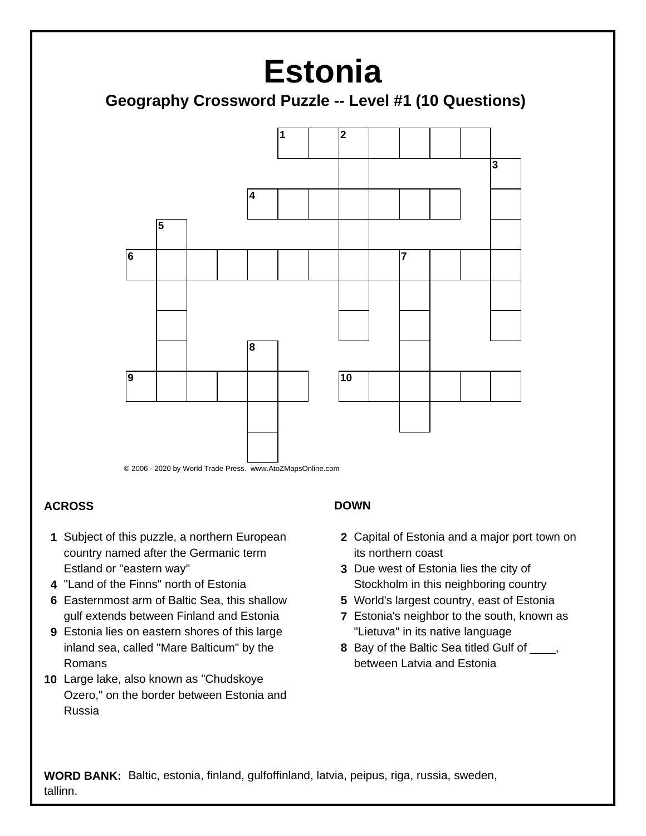# **Estonia**

### **Geography Crossword Puzzle -- Level #1 (10 Questions)**



#### **ACROSS**

- **1** Subject of this puzzle, a northern European country named after the Germanic term Estland or "eastern way"
- **4** "Land of the Finns" north of Estonia
- **6** Easternmost arm of Baltic Sea, this shallow gulf extends between Finland and Estonia
- **9** Estonia lies on eastern shores of this large inland sea, called "Mare Balticum" by the Romans
- **10** Large lake, also known as "Chudskoye Ozero," on the border between Estonia and Russia

#### **DOWN**

- **2** Capital of Estonia and a major port town on its northern coast
- **3** Due west of Estonia lies the city of Stockholm in this neighboring country
- **5** World's largest country, east of Estonia
- **7** Estonia's neighbor to the south, known as "Lietuva" in its native language
- **8** Bay of the Baltic Sea titled Gulf of \_\_\_\_, between Latvia and Estonia

 **WORD BANK:** Baltic, estonia, finland, gulfoffinland, latvia, peipus, riga, russia, sweden, tallinn.